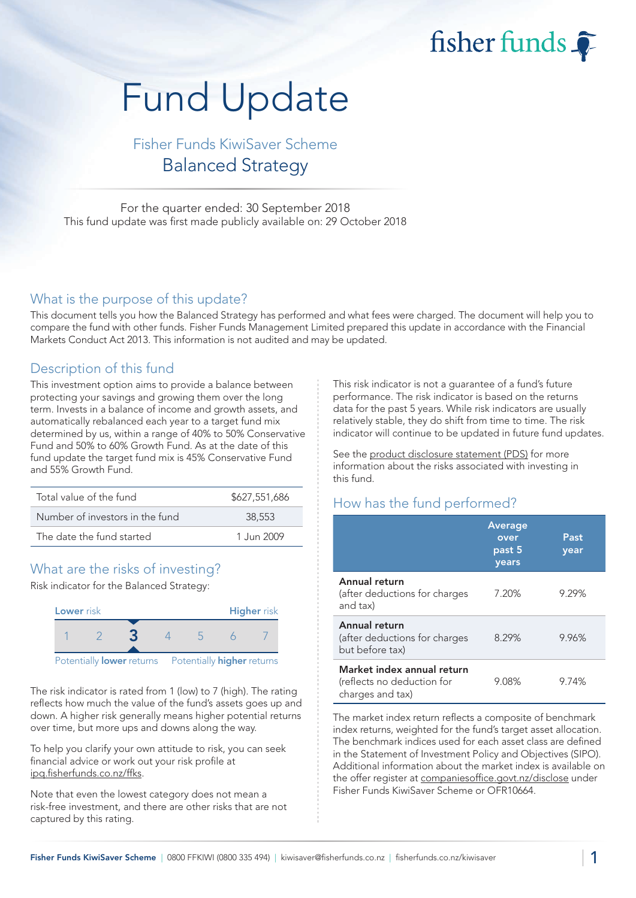fisher funds

# Fund Update

## Fisher Funds KiwiSaver Scheme Balanced Strategy

For the quarter ended: 30 September 2018 This fund update was first made publicly available on: 29 October 2018

#### What is the purpose of this update?

This document tells you how the Balanced Strategy has performed and what fees were charged. The document will help you to compare the fund with other funds. Fisher Funds Management Limited prepared this update in accordance with the Financial Markets Conduct Act 2013. This information is not audited and may be updated.

## Description of this fund

This investment option aims to provide a balance between protecting your savings and growing them over the long term. Invests in a balance of income and growth assets, and automatically rebalanced each year to a target fund mix determined by us, within a range of 40% to 50% Conservative Fund and 50% to 60% Growth Fund. As at the date of this fund update the target fund mix is 45% Conservative Fund and 55% Growth Fund.

| Total value of the fund         | \$627,551,686 |
|---------------------------------|---------------|
| Number of investors in the fund | 38,553        |
| The date the fund started       | 1 Jun 2009    |

## What are the risks of investing?

Risk indicator for the Balanced Strategy:



The risk indicator is rated from 1 (low) to 7 (high). The rating reflects how much the value of the fund's assets goes up and down. A higher risk generally means higher potential returns over time, but more ups and downs along the way.

To help you clarify your own attitude to risk, you can seek financial advice or work out your risk profile at [ipq.fisherfunds.co.nz/ffks.](https://ipq.fisherfunds.co.nz/ffks)

Note that even the lowest category does not mean a risk-free investment, and there are other risks that are not captured by this rating.

This risk indicator is not a guarantee of a fund's future performance. The risk indicator is based on the returns data for the past 5 years. While risk indicators are usually relatively stable, they do shift from time to time. The risk indicator will continue to be updated in future fund updates.

See the [product disclosure statement \(PDS\)](https://fisherfunds.co.nz/assets/PDS/Fisher-Funds-KiwiSaver-Scheme-PDS.pdf) for more information about the risks associated with investing in this fund.

## How has the fund performed?

|                                                                              | <b>Average</b><br>over<br>past 5<br>years | Past<br>year |
|------------------------------------------------------------------------------|-------------------------------------------|--------------|
| Annual return<br>(after deductions for charges<br>and tax)                   | 7.20%                                     | 9.29%        |
| Annual return<br>(after deductions for charges<br>but before tax)            | 8.29%                                     | 9.96%        |
| Market index annual return<br>(reflects no deduction for<br>charges and tax) | 9.08%                                     | 9.74%        |

The market index return reflects a composite of benchmark index returns, weighted for the fund's target asset allocation. The benchmark indices used for each asset class are defined in the Statement of Investment Policy and Objectives (SIPO). Additional information about the market index is available on the offer register at [companiesoffice.govt.nz/disclose](http://companiesoffice.govt.nz/disclose) under Fisher Funds KiwiSaver Scheme or OFR10664.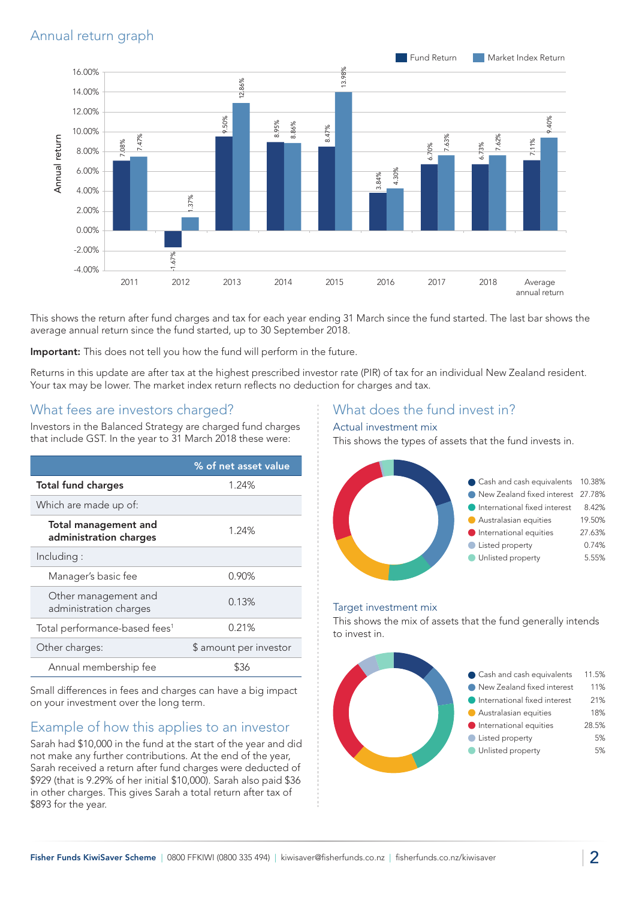## Annual return graph



This shows the return after fund charges and tax for each year ending 31 March since the fund started. The last bar shows the average annual return since the fund started, up to 30 September 2018.

Important: This does not tell you how the fund will perform in the future.

Returns in this update are after tax at the highest prescribed investor rate (PIR) of tax for an individual New Zealand resident. Your tax may be lower. The market index return reflects no deduction for charges and tax.

## What fees are investors charged?

Investors in the Balanced Strategy are charged fund charges that include GST. In the year to 31 March 2018 these were:

|                                                       | % of net asset value   |
|-------------------------------------------------------|------------------------|
| <b>Total fund charges</b>                             | 1.24%                  |
| Which are made up of:                                 |                        |
| <b>Total management and</b><br>administration charges | 1.24%                  |
| Including:                                            |                        |
| Manager's basic fee                                   | 0.90%                  |
| Other management and<br>administration charges        | 0.13%                  |
| Total performance-based fees <sup>1</sup>             | 0.21%                  |
| Other charges:                                        | \$ amount per investor |
| Annual membership fee                                 | \$36                   |

Small differences in fees and charges can have a big impact on your investment over the long term.

## Example of how this applies to an investor

Sarah had \$10,000 in the fund at the start of the year and did not make any further contributions. At the end of the year, Sarah received a return after fund charges were deducted of \$929 (that is 9.29% of her initial \$10,000). Sarah also paid \$36 in other charges. This gives Sarah a total return after tax of \$893 for the year.

## What does the fund invest in?

#### Actual investment mix

This shows the types of assets that the fund invests in.



#### Target investment mix

This shows the mix of assets that the fund generally intends to invest in.